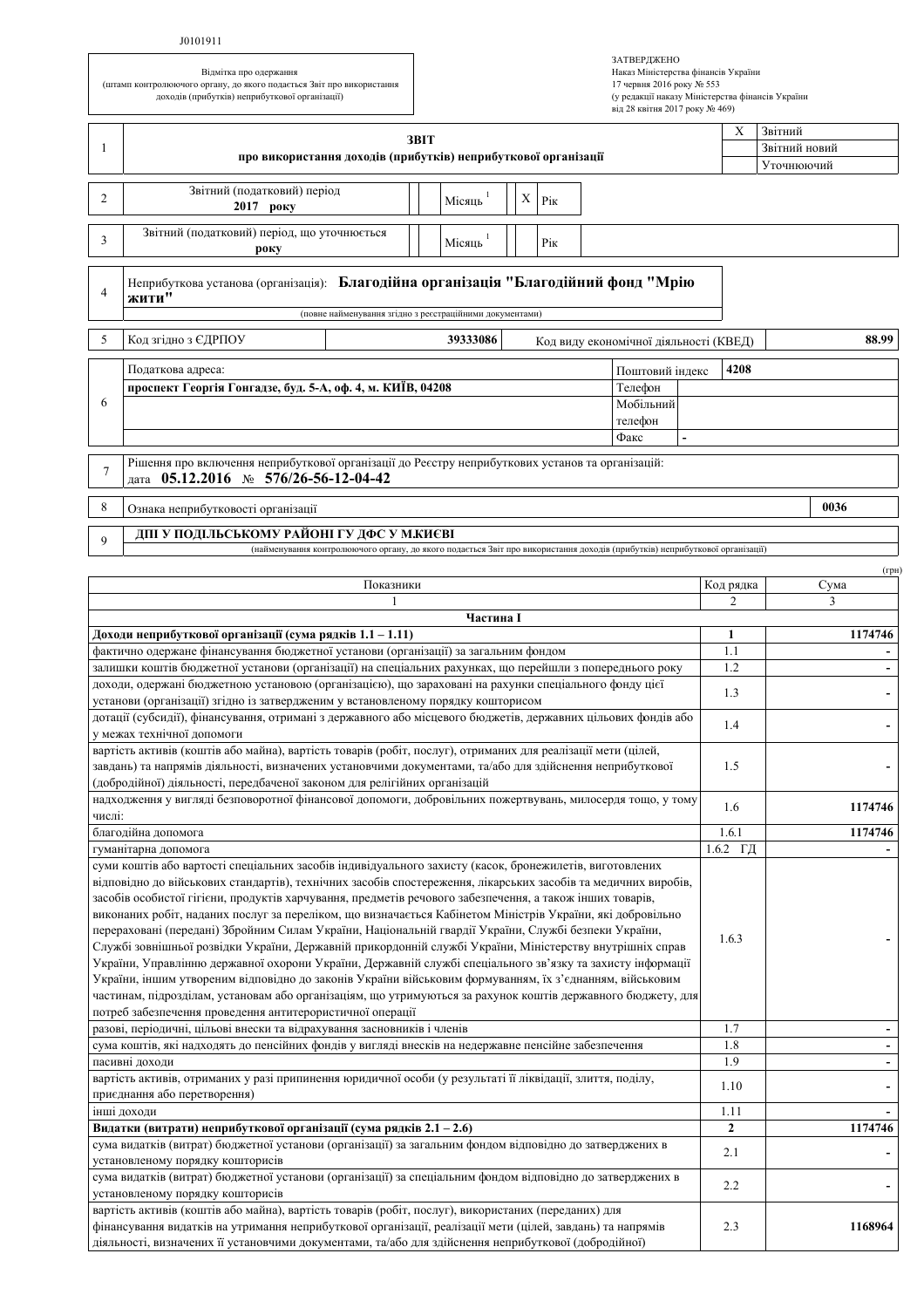## J0101911

Відмітка про одержання (штамп контролюючого органу, до якого подасться Звіт про використання доходів (прибутків) неприбуткової організації)

| ЗАТВЕРДЖЕНО                                      |
|--------------------------------------------------|
| Наказ Міністерства фінансів України              |
| 17 червня 2016 року № 553                        |
| (у редакції наказу Міністерства фінансів України |
| від 28 квітня 2017 року № 469)                   |

| -1             | 3BIT<br>про використання доходів (прибутків) неприбуткової організації                                                                                                                                                                                                                                                                                                                                                                                                                                                                                                                                                                                                                                                                                                                                                                                                                                                                                                                                                                                                         | $\mathbf X$                                     | Звітний<br>Звітний новий<br>Уточнюючий |  |  |  |
|----------------|--------------------------------------------------------------------------------------------------------------------------------------------------------------------------------------------------------------------------------------------------------------------------------------------------------------------------------------------------------------------------------------------------------------------------------------------------------------------------------------------------------------------------------------------------------------------------------------------------------------------------------------------------------------------------------------------------------------------------------------------------------------------------------------------------------------------------------------------------------------------------------------------------------------------------------------------------------------------------------------------------------------------------------------------------------------------------------|-------------------------------------------------|----------------------------------------|--|--|--|
| 2              | Звітний (податковий) період<br>Χ<br>Місяць<br>Pік                                                                                                                                                                                                                                                                                                                                                                                                                                                                                                                                                                                                                                                                                                                                                                                                                                                                                                                                                                                                                              |                                                 |                                        |  |  |  |
|                | 2017 року                                                                                                                                                                                                                                                                                                                                                                                                                                                                                                                                                                                                                                                                                                                                                                                                                                                                                                                                                                                                                                                                      |                                                 |                                        |  |  |  |
| 3              | Звітний (податковий) період, що уточнюється<br>Місяць<br>Pik<br>року                                                                                                                                                                                                                                                                                                                                                                                                                                                                                                                                                                                                                                                                                                                                                                                                                                                                                                                                                                                                           |                                                 |                                        |  |  |  |
| $\overline{4}$ | Неприбуткова установа (організація): Благодійна організація "Благодійний фонд "Мрію<br>жити"<br>(повне найменування згідно з реєстраційними документами)                                                                                                                                                                                                                                                                                                                                                                                                                                                                                                                                                                                                                                                                                                                                                                                                                                                                                                                       |                                                 |                                        |  |  |  |
| 5              | Код згідно з ЄДРПОУ<br>39333086                                                                                                                                                                                                                                                                                                                                                                                                                                                                                                                                                                                                                                                                                                                                                                                                                                                                                                                                                                                                                                                | 88.99<br>Код виду економічної діяльності (КВЕД) |                                        |  |  |  |
|                | Податкова адреса:<br>Поштовий індекс<br>проспект Георгія Гонгадзе, буд. 5-А, оф. 4, м. КИЇВ, 04208<br>Телефон                                                                                                                                                                                                                                                                                                                                                                                                                                                                                                                                                                                                                                                                                                                                                                                                                                                                                                                                                                  | 4208                                            |                                        |  |  |  |
| 6              | Мобільний                                                                                                                                                                                                                                                                                                                                                                                                                                                                                                                                                                                                                                                                                                                                                                                                                                                                                                                                                                                                                                                                      |                                                 |                                        |  |  |  |
|                | телефон                                                                                                                                                                                                                                                                                                                                                                                                                                                                                                                                                                                                                                                                                                                                                                                                                                                                                                                                                                                                                                                                        |                                                 |                                        |  |  |  |
|                | Факс                                                                                                                                                                                                                                                                                                                                                                                                                                                                                                                                                                                                                                                                                                                                                                                                                                                                                                                                                                                                                                                                           |                                                 |                                        |  |  |  |
| 7              | Рішення про включення неприбуткової організації до Реєстру неприбуткових установ та організацій:<br>дата 05.12.2016 № 576/26-56-12-04-42                                                                                                                                                                                                                                                                                                                                                                                                                                                                                                                                                                                                                                                                                                                                                                                                                                                                                                                                       |                                                 |                                        |  |  |  |
| 8              | Ознака неприбутковості організації                                                                                                                                                                                                                                                                                                                                                                                                                                                                                                                                                                                                                                                                                                                                                                                                                                                                                                                                                                                                                                             |                                                 | 0036                                   |  |  |  |
| 9              | ДПІ У ПОДІЛЬСЬКОМУ РАЙОНІ ГУ ДФС У М.КИЄВІ<br>(найменування контролюючого органу, до якого подається Звіт про використання доходів (прибутків) неприбуткової організації)                                                                                                                                                                                                                                                                                                                                                                                                                                                                                                                                                                                                                                                                                                                                                                                                                                                                                                      |                                                 |                                        |  |  |  |
|                |                                                                                                                                                                                                                                                                                                                                                                                                                                                                                                                                                                                                                                                                                                                                                                                                                                                                                                                                                                                                                                                                                |                                                 | $(\Gamma$ ph                           |  |  |  |
|                | Показники                                                                                                                                                                                                                                                                                                                                                                                                                                                                                                                                                                                                                                                                                                                                                                                                                                                                                                                                                                                                                                                                      | Код рядка                                       | Сума                                   |  |  |  |
|                | 1<br>Частина I                                                                                                                                                                                                                                                                                                                                                                                                                                                                                                                                                                                                                                                                                                                                                                                                                                                                                                                                                                                                                                                                 | $\overline{2}$                                  | 3                                      |  |  |  |
|                | Доходи неприбуткової організації (сума рядків 1.1 – 1.11)                                                                                                                                                                                                                                                                                                                                                                                                                                                                                                                                                                                                                                                                                                                                                                                                                                                                                                                                                                                                                      | 1                                               | 1174746                                |  |  |  |
|                | фактично одержане фінансування бюджетної установи (організації) за загальним фондом                                                                                                                                                                                                                                                                                                                                                                                                                                                                                                                                                                                                                                                                                                                                                                                                                                                                                                                                                                                            | 1.1                                             |                                        |  |  |  |
|                | залишки коштів бюджетної установи (організації) на спеціальних рахунках, що перейшли з попереднього року<br>доходи, одержані бюджетною установою (організацією), що зараховані на рахунки спеціального фонду цієї                                                                                                                                                                                                                                                                                                                                                                                                                                                                                                                                                                                                                                                                                                                                                                                                                                                              | 1.2                                             |                                        |  |  |  |
|                | установи (організації) згідно із затвердженим у встановленому порядку кошторисом                                                                                                                                                                                                                                                                                                                                                                                                                                                                                                                                                                                                                                                                                                                                                                                                                                                                                                                                                                                               | 1.3                                             |                                        |  |  |  |
|                | дотації (субсидії), фінансування, отримані з державного або місцевого бюджетів, державних цільових фондів або<br>у межах технічної допомоги                                                                                                                                                                                                                                                                                                                                                                                                                                                                                                                                                                                                                                                                                                                                                                                                                                                                                                                                    | 1.4                                             |                                        |  |  |  |
|                | вартість активів (коштів або майна), вартість товарів (робіт, послуг), отриманих для реалізації мети (цілей,<br>завдань) та напрямів діяльності, визначених установчими документами, та/або для здійснення неприбуткової<br>(добродійної) діяльності, передбаченої законом для релігійних організацій                                                                                                                                                                                                                                                                                                                                                                                                                                                                                                                                                                                                                                                                                                                                                                          | 1.5                                             |                                        |  |  |  |
| числі:         | надходження у вигляді безповоротної фінансової допомоги, добровільних пожертвувань, милосердя тощо, у тому                                                                                                                                                                                                                                                                                                                                                                                                                                                                                                                                                                                                                                                                                                                                                                                                                                                                                                                                                                     | 1.6                                             | 1174746                                |  |  |  |
|                | благодійна допомога                                                                                                                                                                                                                                                                                                                                                                                                                                                                                                                                                                                                                                                                                                                                                                                                                                                                                                                                                                                                                                                            | 1.6.1                                           | 1174746                                |  |  |  |
|                | гуманітарна допомога                                                                                                                                                                                                                                                                                                                                                                                                                                                                                                                                                                                                                                                                                                                                                                                                                                                                                                                                                                                                                                                           | $1.6.2$ ГД                                      |                                        |  |  |  |
|                | суми коштів або вартості спеціальних засобів індивідуального захисту (касок, бронежилетів, виготовлених<br>відповідно до військових стандартів), технічних засобів спостереження, лікарських засобів та медичних виробів,<br>засобів особистої гігієни, продуктів харчування, предметів речового забезпечення, а також інших товарів,<br>виконаних робіт, наданих послуг за переліком, що визначається Кабінетом Міністрів України, які добровільно<br>перераховані (передані) Збройним Силам України, Національній гвардії України, Службі безпеки України,<br>Службі зовнішньої розвідки України, Державній прикордонній службі України, Міністерству внутрішніх справ<br>України, Управлінню державної охорони України, Державній службі спеціального зв'язку та захисту інформації<br>України, іншим утвореним відповідно до законів України військовим формуванням, їх з'єднанням, військовим<br>частинам, підрозділам, установам або організаціям, що утримуються за рахунок коштів державного бюджету, для<br>потреб забезпечення проведення антитерористичної операції | 1.6.3                                           |                                        |  |  |  |
|                | разові, періодичні, цільові внески та відрахування засновників і членів                                                                                                                                                                                                                                                                                                                                                                                                                                                                                                                                                                                                                                                                                                                                                                                                                                                                                                                                                                                                        | 1.7                                             | $\overline{\phantom{a}}$               |  |  |  |
|                | сума коштів, які надходять до пенсійних фондів у вигляді внесків на недержавне пенсійне забезпечення<br>пасивні доходи                                                                                                                                                                                                                                                                                                                                                                                                                                                                                                                                                                                                                                                                                                                                                                                                                                                                                                                                                         | 1.8<br>1.9                                      |                                        |  |  |  |
|                | вартість активів, отриманих у разі припинення юридичної особи (у результаті її ліквідації, злиття, поділу,<br>приєднання або перетворення)                                                                                                                                                                                                                                                                                                                                                                                                                                                                                                                                                                                                                                                                                                                                                                                                                                                                                                                                     | 1.10                                            |                                        |  |  |  |
|                | інші доходи                                                                                                                                                                                                                                                                                                                                                                                                                                                                                                                                                                                                                                                                                                                                                                                                                                                                                                                                                                                                                                                                    | 1.11                                            |                                        |  |  |  |
|                | Видатки (витрати) неприбуткової організації (сума рядків 2.1 – 2.6)<br>сума видатків (витрат) бюджетної установи (організації) за загальним фондом відповідно до затверджених в<br>установленому порядку кошторисів                                                                                                                                                                                                                                                                                                                                                                                                                                                                                                                                                                                                                                                                                                                                                                                                                                                            | $\mathbf{2}$<br>2.1                             | 1174746                                |  |  |  |
|                | сума видатків (витрат) бюджетної установи (організації) за спеціальним фондом відповідно до затверджених в<br>установленому порядку кошторисів                                                                                                                                                                                                                                                                                                                                                                                                                                                                                                                                                                                                                                                                                                                                                                                                                                                                                                                                 | 2.2                                             |                                        |  |  |  |
|                | вартість активів (коштів або майна), вартість товарів (робіт, послуг), використаних (переданих) для<br>фінансування видатків на утримання неприбуткової організації, реалізації мети (цілей, завдань) та напрямів<br>діяльності, визначених її установчими документами, та/або для здійснення неприбуткової (добродійної)                                                                                                                                                                                                                                                                                                                                                                                                                                                                                                                                                                                                                                                                                                                                                      | 2.3                                             | 1168964                                |  |  |  |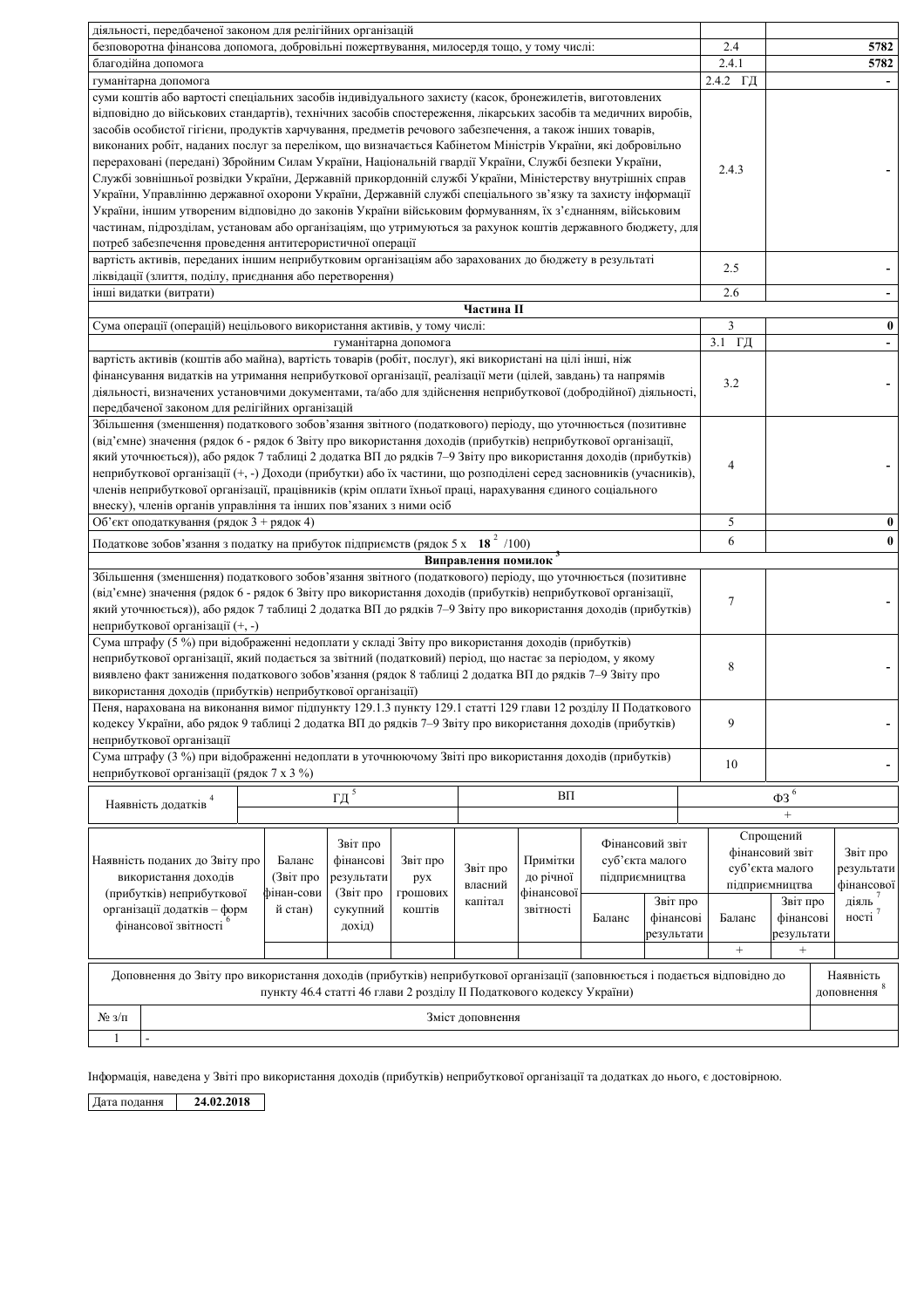| діяльності, передбаченої законом для релігійних організацій                                                                                                                                                                                                                                                                                                                                                                                                                                                                                                                                                                                                                                                                                                                                                                                                                                                                                                                                                                                                                    |          |                                                                                                          |          |  |  |  |  |
|--------------------------------------------------------------------------------------------------------------------------------------------------------------------------------------------------------------------------------------------------------------------------------------------------------------------------------------------------------------------------------------------------------------------------------------------------------------------------------------------------------------------------------------------------------------------------------------------------------------------------------------------------------------------------------------------------------------------------------------------------------------------------------------------------------------------------------------------------------------------------------------------------------------------------------------------------------------------------------------------------------------------------------------------------------------------------------|----------|----------------------------------------------------------------------------------------------------------|----------|--|--|--|--|
| безповоротна фінансова допомога, добровільні пожертвування, милосердя тощо, у тому числі:                                                                                                                                                                                                                                                                                                                                                                                                                                                                                                                                                                                                                                                                                                                                                                                                                                                                                                                                                                                      | 2.4      |                                                                                                          | 5782     |  |  |  |  |
| благодійна допомога                                                                                                                                                                                                                                                                                                                                                                                                                                                                                                                                                                                                                                                                                                                                                                                                                                                                                                                                                                                                                                                            | 2.4.1    |                                                                                                          | 5782     |  |  |  |  |
| гуманітарна допомога                                                                                                                                                                                                                                                                                                                                                                                                                                                                                                                                                                                                                                                                                                                                                                                                                                                                                                                                                                                                                                                           | 2.4.2 ГД |                                                                                                          |          |  |  |  |  |
| суми коштів або вартості спеціальних засобів індивідуального захисту (касок, бронежилетів, виготовлених<br>відповідно до військових стандартів), технічних засобів спостереження, лікарських засобів та медичних виробів,<br>засобів особистої гігієни, продуктів харчування, предметів речового забезпечення, а також інших товарів,<br>виконаних робіт, наданих послуг за переліком, що визначається Кабінетом Міністрів України, які добровільно<br>перераховані (передані) Збройним Силам України, Національній гвардії України, Службі безпеки України,<br>Службі зовнішньої розвідки України, Державній прикордонній службі України, Міністерству внутрішніх справ<br>України, Управлінню державної охорони України, Державній службі спеціального зв'язку та захисту інформації<br>України, іншим утвореним відповідно до законів України військовим формуванням, їх з'єднанням, військовим<br>частинам, підрозділам, установам або організаціям, що утримуються за рахунок коштів державного бюджету, для<br>потреб забезпечення проведення антитерористичної операції | 2.4.3    |                                                                                                          |          |  |  |  |  |
| вартість активів, переданих іншим неприбутковим організаціям або зарахованих до бюджету в результаті<br>ліквідації (злиття, поділу, приєднання або перетворення)                                                                                                                                                                                                                                                                                                                                                                                                                                                                                                                                                                                                                                                                                                                                                                                                                                                                                                               | 2.5      |                                                                                                          |          |  |  |  |  |
| інші видатки (витрати)                                                                                                                                                                                                                                                                                                                                                                                                                                                                                                                                                                                                                                                                                                                                                                                                                                                                                                                                                                                                                                                         | 2.6      |                                                                                                          |          |  |  |  |  |
| Частина II                                                                                                                                                                                                                                                                                                                                                                                                                                                                                                                                                                                                                                                                                                                                                                                                                                                                                                                                                                                                                                                                     |          |                                                                                                          |          |  |  |  |  |
| Сума операції (операцій) нецільового використання активів, у тому числі:                                                                                                                                                                                                                                                                                                                                                                                                                                                                                                                                                                                                                                                                                                                                                                                                                                                                                                                                                                                                       | 3        |                                                                                                          | $\bf{0}$ |  |  |  |  |
| гуманітарна допомога                                                                                                                                                                                                                                                                                                                                                                                                                                                                                                                                                                                                                                                                                                                                                                                                                                                                                                                                                                                                                                                           | 3.1 ГД   |                                                                                                          |          |  |  |  |  |
| вартість активів (коштів або майна), вартість товарів (робіт, послуг), які використані на цілі інші, ніж<br>фінансування видатків на утримання неприбуткової організації, реалізації мети (цілей, завдань) та напрямів<br>діяльності, визначених установчими документами, та/або для здійснення неприбуткової (добродійної) діяльності,<br>передбаченої законом для релігійних організацій                                                                                                                                                                                                                                                                                                                                                                                                                                                                                                                                                                                                                                                                                     | 3.2      |                                                                                                          |          |  |  |  |  |
| Збільшення (зменшення) податкового зобов'язання звітного (податкового) періоду, що уточнюється (позитивне<br>(від'ємне) значення (рядок 6 - рядок 6 Звіту про використання доходів (прибутків) неприбуткової організації,<br>який уточнюється)), або рядок 7 таблиці 2 додатка ВП до рядків 7-9 Звіту про використання доходів (прибутків)<br>неприбуткової організації (+, -) Доходи (прибутки) або їх частини, що розподілені серед засновників (учасників),<br>членів неприбуткової організації, працівників (крім оплати їхньої праці, нарахування єдиного соціального<br>внеску), членів органів управління та інших пов'язаних з ними осіб                                                                                                                                                                                                                                                                                                                                                                                                                               | 4        |                                                                                                          |          |  |  |  |  |
| Об'єкт оподаткування (рядок 3 + рядок 4)                                                                                                                                                                                                                                                                                                                                                                                                                                                                                                                                                                                                                                                                                                                                                                                                                                                                                                                                                                                                                                       | 5        |                                                                                                          | $\bf{0}$ |  |  |  |  |
| Податкове зобов'язання з податку на прибуток підприємств (рядок 5 х 18 <sup>2</sup> /100)                                                                                                                                                                                                                                                                                                                                                                                                                                                                                                                                                                                                                                                                                                                                                                                                                                                                                                                                                                                      | 6        |                                                                                                          | $\bf{0}$ |  |  |  |  |
|                                                                                                                                                                                                                                                                                                                                                                                                                                                                                                                                                                                                                                                                                                                                                                                                                                                                                                                                                                                                                                                                                |          |                                                                                                          |          |  |  |  |  |
| Виправлення помилок<br>Збільшення (зменшення) податкового зобов'язання звітного (податкового) періоду, що уточнюється (позитивне<br>(від'ємне) значення (рядок 6 - рядок 6 Звіту про використання доходів (прибутків) неприбуткової організації,<br>$\tau$<br>який уточнюється)), або рядок 7 таблиці 2 додатка ВП до рядків 7-9 Звіту про використання доходів (прибутків)<br>неприбуткової організації (+, -)                                                                                                                                                                                                                                                                                                                                                                                                                                                                                                                                                                                                                                                                |          |                                                                                                          |          |  |  |  |  |
| Сума штрафу (5 %) при відображенні недоплати у складі Звіту про використання доходів (прибутків)<br>неприбуткової організації, який подається за звітний (податковий) період, що настає за періодом, у якому<br>виявлено факт заниження податкового зобов'язання (рядок 8 таблиці 2 додатка ВП до рядків 7-9 Звіту про<br>використання доходів (прибутків) неприбуткової організації)                                                                                                                                                                                                                                                                                                                                                                                                                                                                                                                                                                                                                                                                                          | 8        |                                                                                                          |          |  |  |  |  |
| Пеня, нарахована на виконання вимог підпункту 129.1.3 пункту 129.1 статті 129 глави 12 розділу ІІ Податкового<br>кодексу України, або рядок 9 таблиці 2 додатка ВП до рядків 7–9 Звіту про використання доходів (прибутків)<br>неприбуткової організації                                                                                                                                                                                                                                                                                                                                                                                                                                                                                                                                                                                                                                                                                                                                                                                                                       | 9        |                                                                                                          |          |  |  |  |  |
| Сума штрафу (3 %) при відображенні недоплати в уточнюючому Звіті про використання доходів (прибутків)<br>неприбуткової організації (рядок 7 х 3 %)                                                                                                                                                                                                                                                                                                                                                                                                                                                                                                                                                                                                                                                                                                                                                                                                                                                                                                                             | $10\,$   |                                                                                                          |          |  |  |  |  |
| $\underline{\Gamma}\underline{\pi}^{\,5}$<br>BΠ                                                                                                                                                                                                                                                                                                                                                                                                                                                                                                                                                                                                                                                                                                                                                                                                                                                                                                                                                                                                                                |          | $\Phi 3$ $^6$                                                                                            |          |  |  |  |  |
| Наявність додатків <sup>4</sup>                                                                                                                                                                                                                                                                                                                                                                                                                                                                                                                                                                                                                                                                                                                                                                                                                                                                                                                                                                                                                                                |          |                                                                                                          |          |  |  |  |  |
| Фінансовий звіт<br>Звіт про<br>суб'єкта малого<br>Наявність поданих до Звіту про<br>Баланс<br>фінансові<br>Звіт про<br>Примітки<br>Звіт про<br>підприємництва<br>використання доходів<br>(Звіт про<br>результати<br>до річної<br>рух<br>власний<br>фінансової<br>(прибутків) неприбуткової<br>фінан-сови<br>(Звіт про<br>грошових<br>капітал<br>Звіт про<br>організації додатків - форм<br>сукупний<br>звітності<br>й стан)<br>коштів<br>Баланс<br>фінансові<br>фінансової звітності<br>дохід)<br>результати                                                                                                                                                                                                                                                                                                                                                                                                                                                                                                                                                                   | Баланс   | Спрощений<br>фінансовий звіт<br>суб'єкта малого<br>підприємництва<br>Звіт про<br>фінансові<br>результати |          |  |  |  |  |
| $^{+}$                                                                                                                                                                                                                                                                                                                                                                                                                                                                                                                                                                                                                                                                                                                                                                                                                                                                                                                                                                                                                                                                         |          |                                                                                                          |          |  |  |  |  |
| Доповнення до Звіту про використання доходів (прибутків) неприбуткової організації (заповнюється і подається відповідно до<br>Наявність<br>доповнення 8<br>пункту 46.4 статті 46 глави 2 розділу II Податкового кодексу України)                                                                                                                                                                                                                                                                                                                                                                                                                                                                                                                                                                                                                                                                                                                                                                                                                                               |          |                                                                                                          |          |  |  |  |  |
| $N_2$ 3/ $\pi$<br>Зміст доповнення                                                                                                                                                                                                                                                                                                                                                                                                                                                                                                                                                                                                                                                                                                                                                                                                                                                                                                                                                                                                                                             |          |                                                                                                          |          |  |  |  |  |
| $\mathbf{1}$<br>$\blacksquare$                                                                                                                                                                                                                                                                                                                                                                                                                                                                                                                                                                                                                                                                                                                                                                                                                                                                                                                                                                                                                                                 |          |                                                                                                          |          |  |  |  |  |

Інформація, наведена у Звіті про використання доходів (прибутків) неприбуткової організації та додатках до нього, є достовірною.

Дата подання 24.02.2018